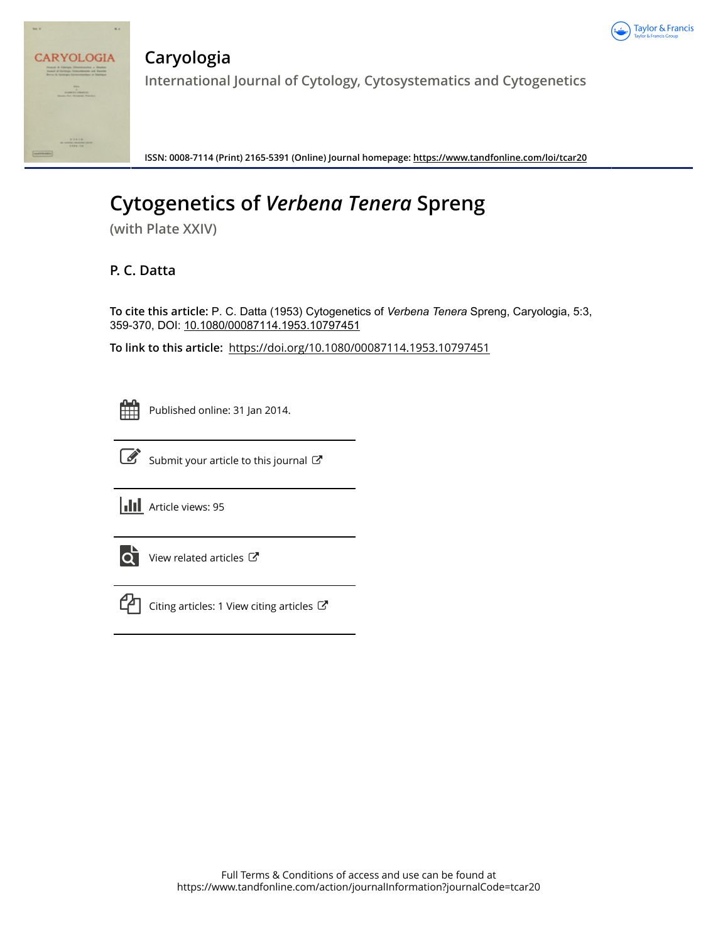



**Caryologia International Journal of Cytology, Cytosystematics and Cytogenetics**

**ISSN: 0008-7114 (Print) 2165-5391 (Online) Journal homepage:<https://www.tandfonline.com/loi/tcar20>**

# **Cytogenetics of** *Verbena Tenera* **Spreng**

**(with Plate XXIV)**

## **P. C. Datta**

**To cite this article:** P. C. Datta (1953) Cytogenetics of *VerbenaTenera* Spreng, Caryologia, 5:3, 359-370, DOI: [10.1080/00087114.1953.10797451](https://www.tandfonline.com/action/showCitFormats?doi=10.1080/00087114.1953.10797451)

**To link to this article:** <https://doi.org/10.1080/00087114.1953.10797451>



Published online: 31 Jan 2014.



 $\overrightarrow{S}$  [Submit your article to this journal](https://www.tandfonline.com/action/authorSubmission?journalCode=tcar20&show=instructions)  $\overrightarrow{S}$ 

**III** Article views: 95



[View related articles](https://www.tandfonline.com/doi/mlt/10.1080/00087114.1953.10797451) C



[Citing articles: 1 View citing articles](https://www.tandfonline.com/doi/citedby/10.1080/00087114.1953.10797451#tabModule)  $\mathbb{Z}$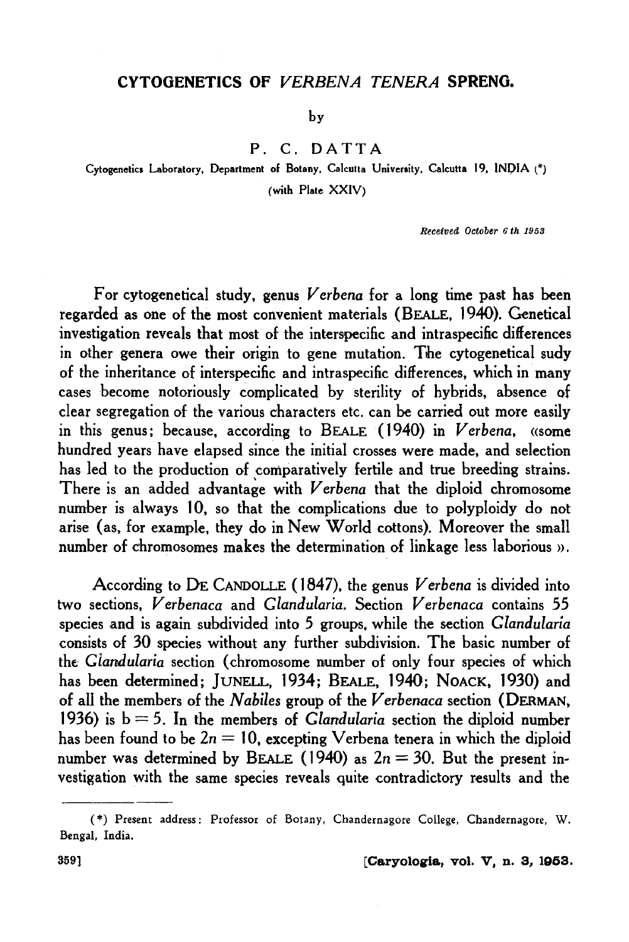## CYTOGENETICS OF VERBENA TENERA SPRENO.

by

P. C. DATTA

Cytogenetics Laboratory, Department of Botany, Calcutta University, Calcutta 19, INDIA (\*) (with Plate XXIV)

Received October 6th 1958

For cytogenetical study, genus *Verbena* for a long time past has been regarded as one of the most convenient materials (BEALE, 1940). Genetical investigation reveals that most of the interspecific and intraspecific differences in other genera owe their origin to gene mutation. The cytogenetical sudy of the inheritance of interspecific and intraspecific differences, which in many cases become notoriously complicated by sterility of hybrids, absence of clear segregation of the various characters etc. can be carried out more easily in this genus; because, according to BEALE ( 1940) in *Verbena,* «some hundred years have elapsed since the initial crosses were made, and selection has led to the production of comparatively fertile and true breeding strains. There is an added advantage with *Verbena* that the diploid chromosome number is always 10, so that the complications due to polyploidy do not arise (as, for example, they do in New World cottons). Moreover the small number of chromosomes makes the determination of linkage less laborious ».

According to DE CANDOLLE (1847), the genus *Verbena* is divided into two sections, *Verbenaca* and *Glandularia.* Section *Verbenaca* contains *55*  species and is again subdivided into *5* groups, while the section *Glandularia*  consists of 30 species without any further subdivision. The basic number of the *Glandularia* section (chromosome number of only four species of which has been determined; JUNELL, 1934; BEALE, 1940; NOACK, 1930) and of all the members of the *Nabiles* group of the *Verbenaca* section (DERMAN, 1936) is  $b = 5$ . In the members of *Glandularia* section the diploid number has been found to be  $2n = 10$ , excepting Verbena tenera in which the diploid number was determined by BEALE (1940) as  $2n = 30$ . But the present investigation with the same species reveals quite contradictory results and the

<sup>( \*)</sup> Present address: Professor of Botany, Chandernagore College, Chandernagore, W. Bengal, India.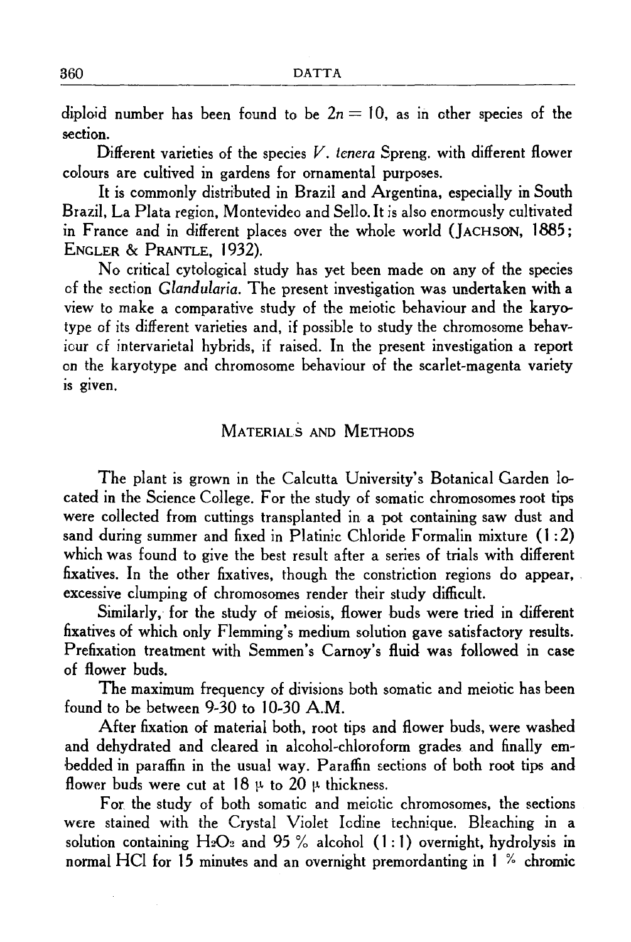diploid number has been found to be  $2n = 10$ , as in other species of the section.

Different varieties of the species  $V$ . tenera Spreng. with different flower colours are cultived in gardens for ornamental purposes.

It is commonly distributed in Brazil and Argentina, especially in South Brazil, La Plata region, Montevideo and Sello. It is also enormously cultivated in France and in different places over the whole world (JACHSON, 1885; ENGLER & PRANTLE, 1932).

No critical cytological study has yet been made on any of the species of the section *Glandularia.* The present investigation was undertaken with a view to make a comparative study of the meiotic behaviour and the karyotype of its different varieties and, if possible to study the chromosome behaviour cf intervarietal hybrids, if raised. In the present investigation a report on the karyotype and chromosome behaviour of the scarlet~magenta variety is given.

## MATERIALS AND METHODS

The plant is grown in the Calcutta University's Botanical Garden located in the Science College. For the study of somatic chromosomes root tips were collected from cuttings transplanted in a pot containing saw dust and sand during summer and fixed in Platinic Chloride Formalin mixture ( 1 : 2) which was found to give the best result after a series of trials with different fixatives. In the other fixatives, though the constriction regions do appear, . excessive clumping of chromosomes render their study difficult.

Similarly, for the study of meiosis, flower buds were tried in different fixatives of which only Flemming's medium solution gave satisfactory results. Prefixation treatment with Semmen's Carnov's fluid was followed in case of flower buds.

The maximum frequency of divisions both somatic and meiotic has been found to be between 9~30 to 10~30 A.M.

After fixation of material both, root tips and flower buds, were washed and dehydrated and cleared in alcohol-chloroform grades and finally em-:bedded in paraffin in the usual way. Paraffin sections of both root tips and flower buds were cut at  $18 \mu$  to  $20 \mu$  thickness.

For. the study of both somatic and meiotic chromosomes, the sections were stained with the Crystal Violet Iodine technique. Bleaching in a solution containing  $H_2O_2$  and 95 % alcohol (1:1) overnight, hydrolysis in normal HCI for 15 minutes and an overnight premordanting in 1 % chromic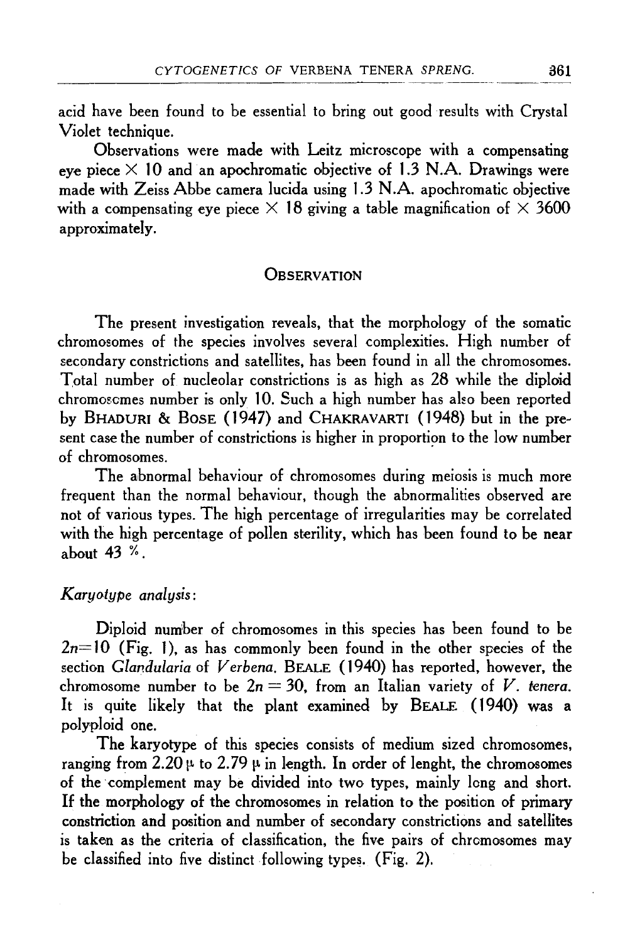acid have been found to be essential to bring out good results with Crystal Violet technique.

Observations were made with Leitz microscope with a compensating eve piece  $\times$  10 and an apochromatic objective of 1.3 N.A. Drawings were made with Zeiss Abbe camera Iucida using 1.3 N .A. apochromatic objective with a compensating eye piece  $\times$  18 giving a table magnification of  $\times$  3600 approximately.

#### **OBSERVATION**

The present investigation reveals, that the morphology of the somatic chromosomes of the species involves several complexities. High number of secondary constrictions and satellites, has been found in all the chromosomes. Total number of nucleolar constrictions is as high as 28 while the diploid chromoscmes number is only 10. Such a high number has also been reported by BHADURI & BOSE (1947) and CHAKRAVARTI (1948) but in the present case the number of constrictions is higher in proportion to the low number of chromosomes.

The abnormal behaviour of chromosomes during meiosis is much more frequent than the normal behaviour, though the abnormalities observed are not of various types. The high percentage of irregularities may be correlated with the high percentage of pollen sterility, which has been found to be near about 43 %.

#### *Karyotype analysis:*

Diploid number of chromosomes in this species has been found to be  $2n=10$  (Fig. 1), as has commonly been found in the other species of the section *Glandularia* of *Verbena.* BEALE ( 1940) has reported, however, the chromosome number to be  $2n = 30$ , from an Italian variety of V. tenera. It is quite likely that the plant examined by BEALE (1940) was a polyploid one.

The karyotype of this species consists of medium sized chromosomes, ranging from 2.20  $\mu$  to 2.79  $\mu$  in length. In order of lenght, the chromosomes of the complement may be divided into two types, mainly long and short. If the morphology of the chromosomes in relation to the position of primary constriction and position and number of secondary constrictions and satellites is taken as the criteria of classification, the five pairs of chromosomes may be classified into five distinct following types. (Fig. 2).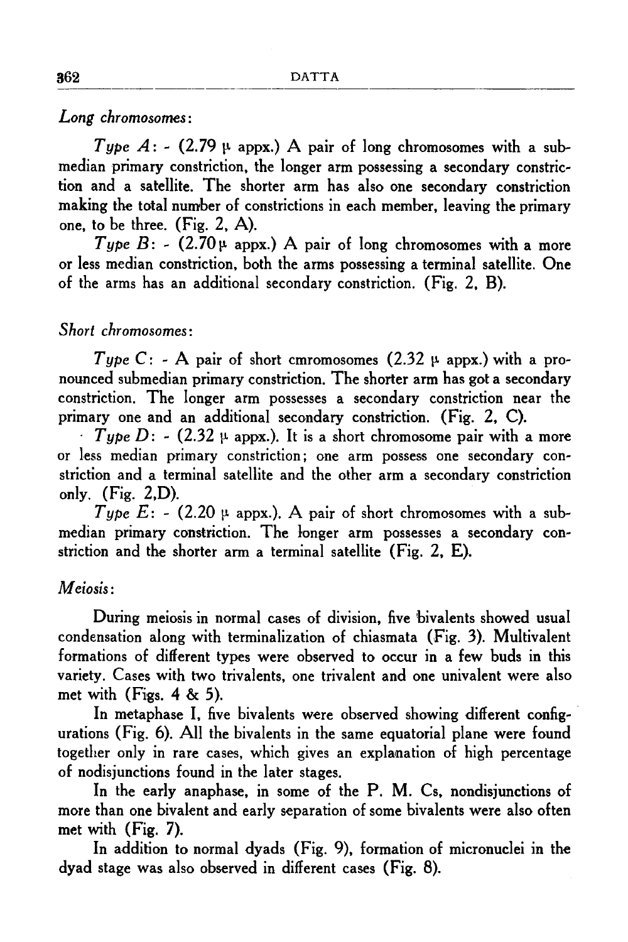*Long chromosomes:* 

*Type A*: - (2.79  $\mu$  appx.) A pair of long chromosomes with a submedian primary constriction, the longer arm possessing a secondary constriction and a satellite. The shorter arm has also one secondary constriction making the total number of constrictions in each member, leaving the primary one, to be three. (Fig. 2, A).

*Type B*: - (2.70 $\mu$  appx.) A pair of long chromosomes with a more or less median constriction, both the arms possessing a terminal satellite. One of the arms has an additional secondary constriction. (Fig. 2, B).

## *Short chromosomes:*

*Type* C: - A pair of short cmromosomes (2.32  $\mu$  appx.) with a pronounced submedian primary constriction. The shorter arm has got a secondary constriction. The longer arm possesses a secondary constriction near the primary one and an additional secondary constriction. (Fig. 2, C).

 $\cdot$  *Type D*: - (2.32  $\mu$  appx.). It is a short chromosome pair with a more or less median primary constriction; one arm possess one secondary constriction and a terminal satellite and the other arm a secondary constriction only.  $(Fig. 2,D)$ .

*Type E:* - (2.20  $\mu$  appx.). A pair of short chromosomes with a submedian primary constriction. The longer arm possesses a secondary constriction and the shorter arm a terminal satellite (Fig. 2, E).

## *Meiosis:*

During meiosis in normal cases of division, five bivalents showed usual condensation along with terminalization of chiasmata (Fig. 3). Multivalent formations of different types were observed to occur in a few buds in this variety. Cases with two trivalents, one trivalent and one univalent were also met with  $(Figs. 4 \& 5)$ .

In metaphase I, five bivalents were observed showing different configurations (Fig. 6). All the bivalents in the same equatorial plane were found together only in rare cases, which gives an explanation of high percentage of nodisjunctions found in the later stages.

In the early anaphase, in some of the P. M. Cs, nondisjunctions of more than one bivalent and early separation of some bivalents were also often met with (Fig. 7).

In addition to normal dyads (Fig. 9), formation of micronuclei in the dyad stage was also observed in different cases (Fig. 8).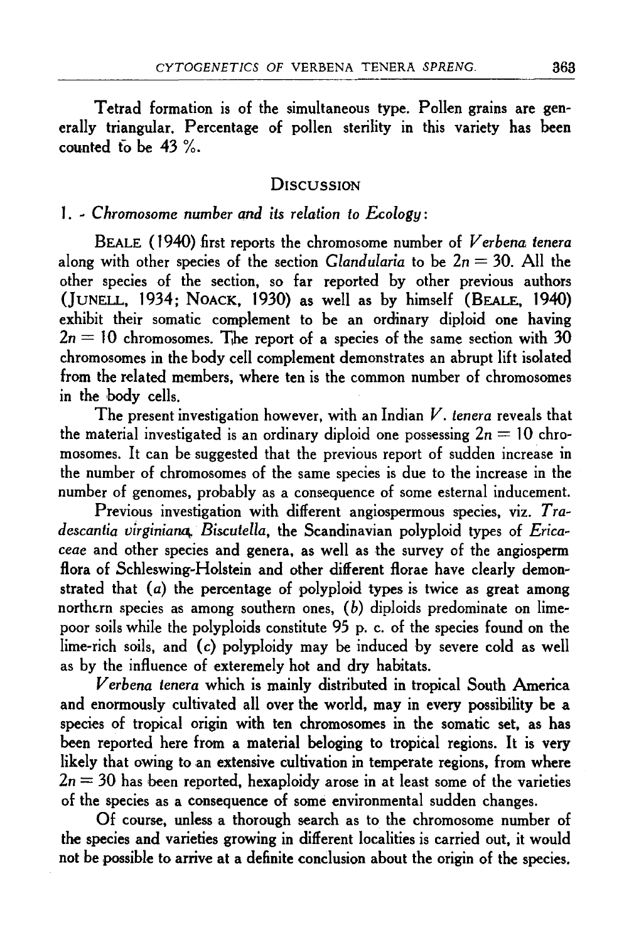Tetrad formation is of the simultaneous type. Pollen grains are generally triangular. Percentage of pollen sterility in this variety has been counted to be 43 %.

## **DISCUSSION**

## 1. - *Chromosome number and its relation to Ecology:*

BEALE ( 1940) first reports the chromosome number of *Verbena tenera*  along with other species of the section *Clandularia* to be  $2n = 30$ . All the other species of the section, so far reported by other previous authors (JuNELL, 1934; NoAcK, 1930) as well as by himself (BEALE, 1940) exhibit their somatic complement to be an ordinary diploid one having  $2n = 10$  chromosomes. The report of a species of the same section with 30 chromosomes in the body cell complement demonstrates an abrupt lift isolated from the related members, where ten is the common number of chromosomes in the hody cells.

The present investigation however, with an Indian *V. tenera* reveals that the material investigated is an ordinary diploid one possessing  $2n = 10$  chromosomes. It can be suggested that the previous report of sudden increase in the number of chromosomes of the same species is due to the increase in the number of genomes, probably as a consequence of some esternal inducement.

Previous investigation with different angiospermous species, viz. Tradescantia virginiana, Biscutella, the Scandinavian polyploid types of *Erica*ceae and other species and genera, as well as the survey of the angiosperm flora of Schleswing-Holstein and other different florae have clearly demonstrated that  $(a)$  the percentage of polyploid types is twice as great among northern species as among southern ones,  $(b)$  diploids predominate on limepoor soils while the polyploids constitute 95 p. c. of the species found on the lime-rich soils, and (c) polyploidy may be induced by severe cold as well as by the influence of exteremely hot and dry habitats.

*Verbena tenera* which is mainly distributed in tropical South America and enormously cultivated all over the world, may in every possibility he a species of tropical origin with ten chromosomes in the somatic set, as has been reported here from a material beloging to tropical regions. It is very likely that owing to an extensive cultivation in temperate regions, from where  $2n = 30$  has been reported, hexaploidy arose in at least some of the varieties of the species as a consequence of some environmental sudden changes.

Of course, unless a thorough search as to the chromosome number of the species and varieties growing in different localities is carried out, it would not be possible to arrive at a definite conclusion about the origin of the species.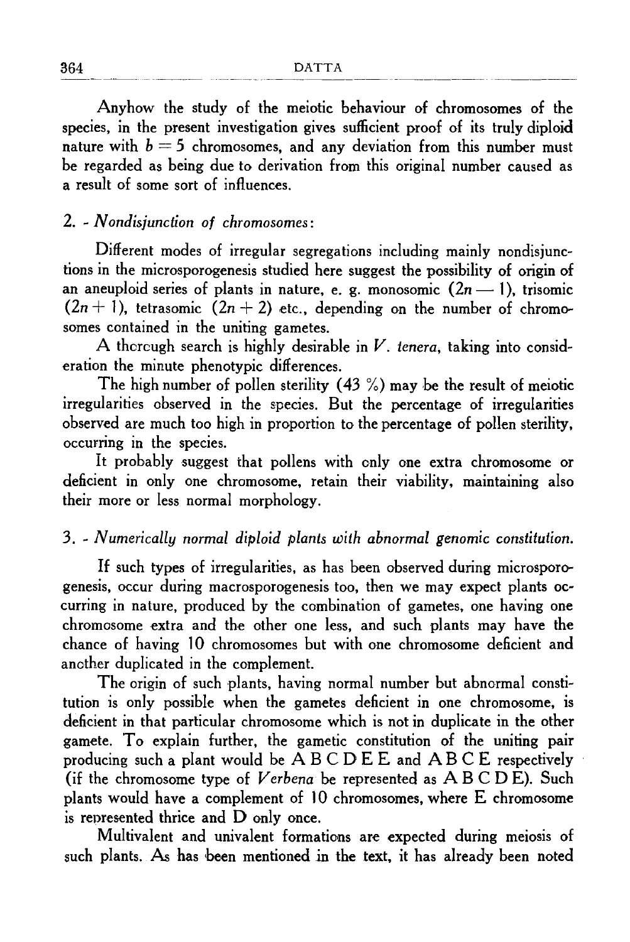Anyhow the study of the meiotic behaviour of chromosomes of the species, in the present investigation gives sufficient proof of its truly diploid nature with  $b = 5$  chromosomes, and any deviation from this number must be regarded as being due to derivation from this original number caused as a result of some sort of influences.

## 2. ~ *Nondisjunction of chromosomes:*

Different modes of irregular segregations including mainly nondisjunctions in the microsporogenesis studied here suggest the possibility of origin of an aneuploid series of plants in nature, e. g. monosomic  $(2n-1)$ , trisomic  $(2n + 1)$ , tetrasomic  $(2n + 2)$  etc., depending on the number of chromosomes contained in the uniting gametes.

A thorough search is highly desirable in  $V$ . tenera, taking into consideration the minute phenotypic differences.

The high number of pollen sterility  $(43\%)$  may be the result of meiotic irregularities observed in the species. But the percentage of irregularities observed are much too high in proportion to the percentage of pollen sterility, occurring in the species.

It probably suggest that pollens with only one extra chromosome or deficient in only one chromosome, retain their viability, maintaining also their more or less normal morphology.

## 3. ~ *Numerically normal diploid plants with abnormal genomic constitution.*

If such types of irregularities, as has been observed during microsporogenesis, occur during macrosporogenesis too, then we may expect plants oc~ curring in nature, produced by the combination of gametes, one having one chromosome extra and the other one less, and such plants may have the chance of having 10 chromosomes but with one chromosome deficient and another duplicated in the complement.

The origin of such plants, having normal number but abnormal constitution is only possible when the gametes deficient in one chromosome, is deficient in that particular chromosome which is not in duplicate in the other gamete. To explain further, the gametic constitution of the uniting pair producing such a plant would be A B C D E E and A B C E respectively (if the chromosome type of *Verbena* be represented as A B C D E). Such plants would have a complement of  $10$  chromosomes, where  $E$  chromosome is represented thrice and D only once.

Multivalent and univalent formations are expected during meiosis of such plants. As has been mentioned in the text, it has already been noted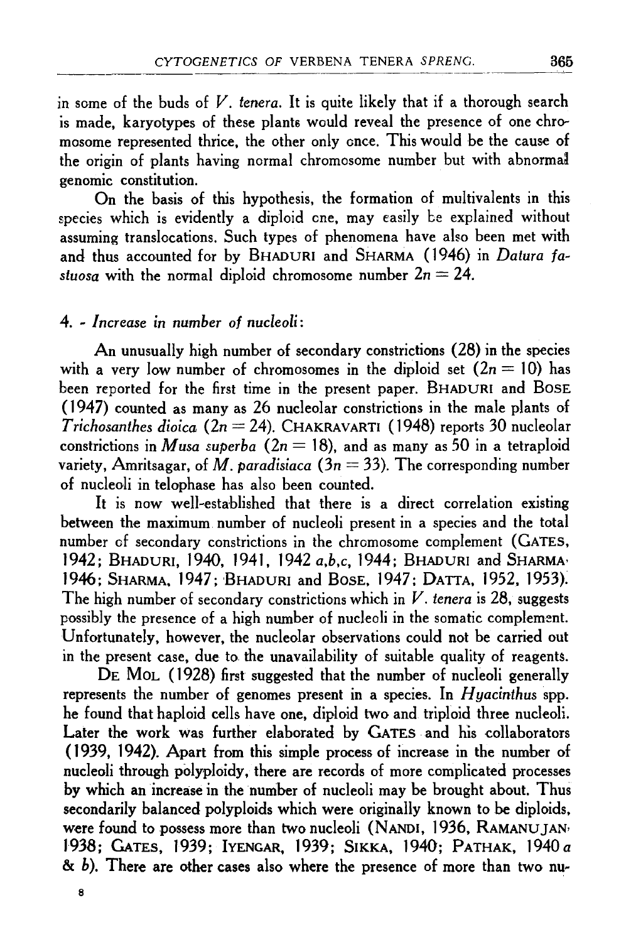in some of the buds of *V. tenera.* It is quite likely that if a thorough search is made, karyotypes of these plants would reveal the presence of one chromosome represented thrice, the other only once. This would be the cause of the origin of plants having normal chromosome number but with abnormal genomic constitution.

On the basis of this hypothesis, the formation of multivalents in this species which is evidently a diploid cne, may easily be explained without assuming translocations. Such types of phenomena have also been met with and thus accounted for by BHADURI and SHARMA (1946) in *Datura fastuosa* with the normal diploid chromosome number  $2n = 24$ .

#### 4. ~ *Increase in number of nucleoli:*

An unusually high number of secondary constrictions (28) in the species with a very low number of chromosomes in the diploid set  $(2n = 10)$  has been reported for the first time in the present paper. BHADURI and BosE  $(1947)$  counted as many as 26 nucleolar constrictions in the male plants of *T richosanthes dioica* ( *2n* = 24 ). CHAKRAvARTI ( 1948) reports 30 nucleolar constrictions in *Musa superba*  $(2n = 18)$ , and as many as 50 in a tetraploid variety, Amritsagar, of *M. paradisiaca* ( $3n = 33$ ). The corresponding number of nucleoli in telophase has also been counted.

It is now well-established that there is a direct correlation existing between the maximum. number of nucleoli present in a species and the total number of secondary constrictions in the chromosome complement (GATES, J 942; BHADURI, 1940, 1941, 1942 *a,b,c,* 1944; BHADURI and SHARMA• 1946; SHARMA, 1947; BHADURI and BosE, 1947; DATTA, 1952, 1953). The high number of secondary constrictions which in *V. tenera* is 28, suggests possibly the presence of a high number of nucleoli in the somatic complement. Unfortunately, however, the nucleolar observations could not be carried out in the present case, due to the unavailability of suitable quality of reagents.

DE MOL (1928) first suggested that the number of nucleoli generally represents the number of genomes present in a species. In *H yacinthus* spp. he found that haploid cells have one, diploid two and triploid three nucleoli. Later the work was further elaborated by GATES and his collaborators (1939, 1942). Apart from this simple process of increase in the number of nucleoli through polyploidy, there are records of more complicated processes by which an increase in the number of nucleoli may be brought about. Thus secondarily balanced polyploids which were originally known to be diploids, were found to possess more than two nucleoli (NANDI, 1936, RAMANUJAN<sup>,</sup> 1938; GATES, 1939; IYENGAR, 1939; SIKKA, 1940; PATHAK, 1940 a & b). There are other cases also where the presence of more than two nu-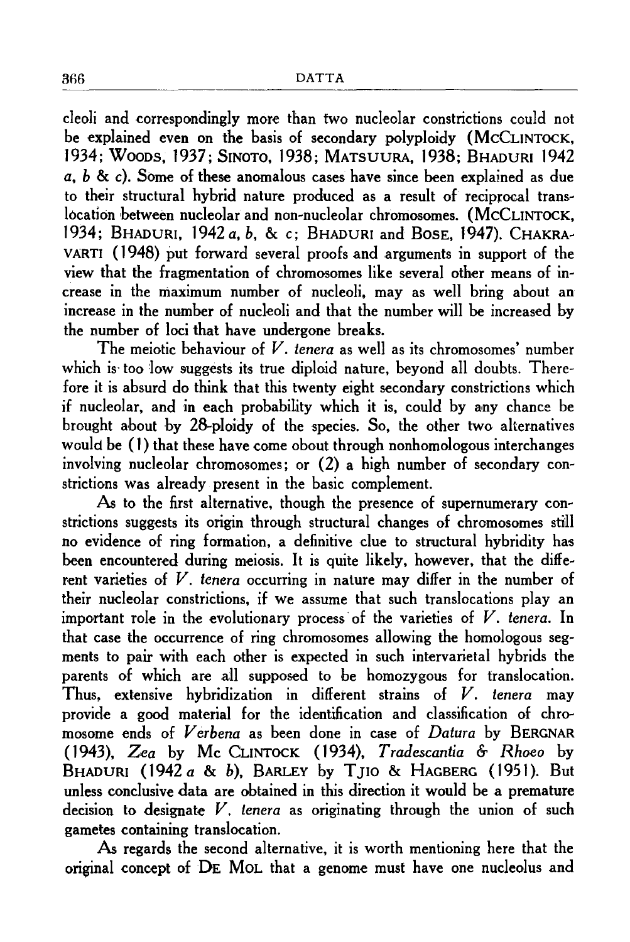cleoli and correspondingly more than two nucleolar constrictions could not be explained even on the basis of secondary polyploidy (McCLINTOCK, 1934; Wooos, 1937; SINOTo, 1938; MATSUURA, 1938; BHADURI 1942 *a, b* & c). Some of these anomalous cases have since been explained as due to their structural hybrid nature produced as a result of reciprocal trans~ location between nucleolar and non-nucleolar chromosomes. (McCLINTOCK, 1934; BHADURI, 1942 *a, b,* & c; BHADURI and BosE, 1947). CHAKRA~ VARTI ( 1948) put forward several proofs and arguments in support of the view that the fragmentation of chromosomes like several other means of in~ crease in the maximum number of nucleoli, may as well bring about an increase in the number of nucleoli and that the number will be increased by the number of loci that have undergone breaks.

The meiotic behaviour of *V. tenera* as well as its chromosomes' number which is too low suggests its true diploid nature, beyond all doubts. Therefore it is absurd do think that this twenty eight secondary constrictions which if nucleolar, and in each probability which it is, could by any chance be brought about by 28-ploidy of the species. So, the other two alternatives would be (1) that these have come obout through nonhomologous interchanges involving nucleolar chromosomes; or  $(2)$  a high number of secondary constrictions was already present in the basic complement.

As to the first alternative, though the presence of supernumerary constrictions suggests its origin through structural changes of chromosomes still no evidence of ring formation, a definitive due to structural hybridity has been encountered during meiosis. It is quite likely, however, that the different varieties of V. *tenera* occurring in nature may differ in the number of their nucleolar constrictions, if we assume that such translocations play an important role in the evolutionary process· of the varieties of V. *tenera.* In that case the occurrence of ring chromosomes allowing the homologous segments to pair with each other is expected in such intervarietal hybrids the parents of which are all supposed to be homozygous for translocation. Thus, extensive hybridization in different strains of *V. tenera* may provide a good material for the identification and classification of chromosome ends of *Verbena* as been done in case of *Datura* by BERGNAR ( 1943), *Zea* by Me CLINTOCK ( 1934), *Tradescantia* &- *Rhoeo* by BHADURI ( 1942 *a* & b), BARLEY by T JIO & HAGBERG ( 1951 ). But unless conclusive data are obtained in this direction it would be a premature decision to designate V. *tenera* as originating through the union of such gametes containing translocation.

As regards the second alternative, it is worth mentioning here that the original concept of DE MOL that a genome must have one nucleolus and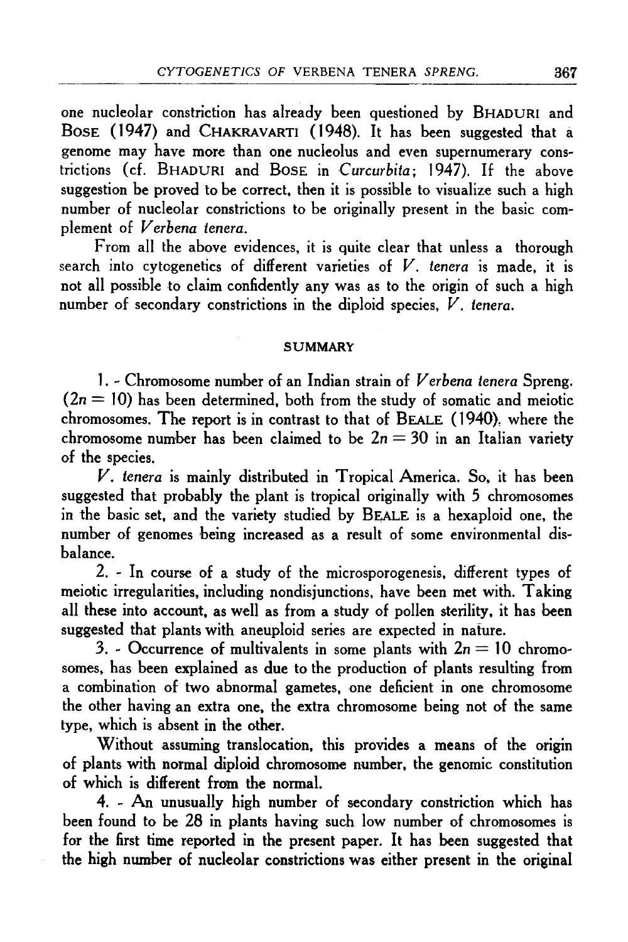one nucleolar constriction has already been questioned by BHADURI and BosE ( 1947) and CHAKRAVARTI ( 1948). It has been suggested that a genome may have more than one nucleolus and even supernumerary constrictions (cf. BHADURI and BosE in *Curcurbita;* 1947). If the above suggestion be proved to be correct, then it is possible to visualize such a high number of nucleolar constrictions to be originally present in the basic complement of *Verbena tenera.* 

From all the above evidences, it is quite clear that unless a thorough search into cytogenetics of different varieties of *V. tenera* is made, it is not all possible to claim confidently any was as to the origin of such a high number of secondary constrictions in the diploid species, *V. tenera.* 

#### **SUMMARY**

1. - Chromosome number of an Indian strain of *Verbena tenera* Spreng.  $(2n = 10)$  has been determined, both from the study of somatic and meiotic chromosomes. The report is in contrast to that of BEALE ( 1940), where the chromosome number has been claimed to be  $2n = 30$  in an Italian variety of the species.

*V. tenera* is mainly distributed in Tropical America. So, it has been suggested that probably the plant is tropical originally with *5* chromosomes in the basic set, and the variety studied by BE,ALE is a hexaploid one, the number of genomes being increased as a result of some environmental disbalance.

2. - In course of a study of the microsporogenesis, different types of meiotic irregularities, including nondisjunctions, have been met with. Taking all these into account, as well as from a study of pollen sterility, it has been suggested that plants with aneuploid series are expected in nature.

3. - Occurrence of multivalents in some plants with  $2n = 10$  chromosomes, has been explained as due to the production of plants resulting from a combination of two abnormal gametes, one deficient in one chromosome the other having an extra one, the extra chromosome being not of the same type, which is absent in the other.

Without assuming translocation, this provides a means of the origin of plants with normal diploid chromosome number, the genomic constitution of which is different from the normal.

4. - An unusually high number of secondary constriction which has been found to be 28 in plants having such low number of chromosomes is for the first time reported in the present paper. It has been suggested that the high number of nucleolar constrictions was either present in the original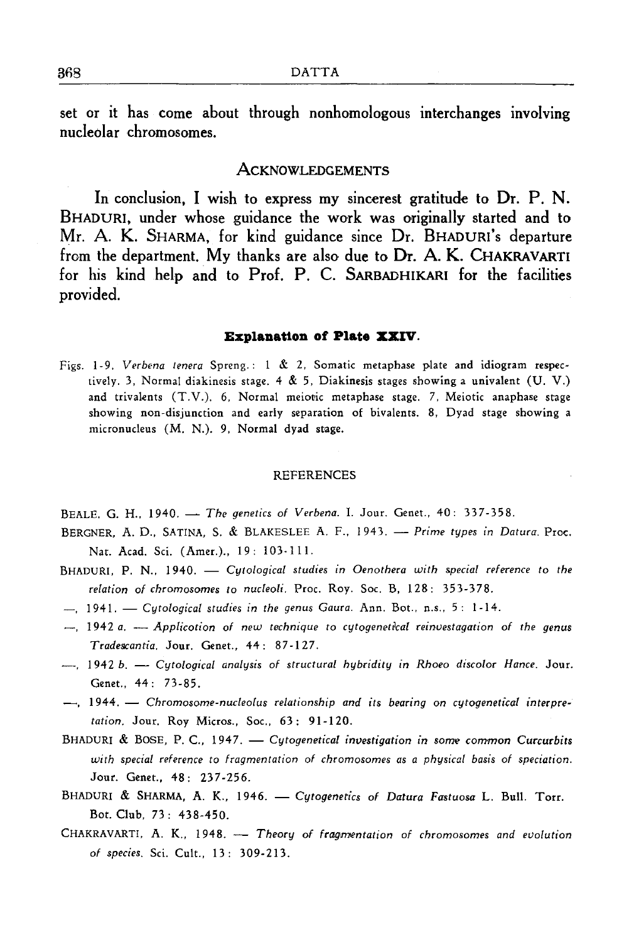set or it has come about through nonhomologous interchanges involving nucleolar chromosomes.

#### **ACKNOWLEDGEMENTS**

In conclusion, I wish to express my sincerest gratitude to Dr. P. N. BHADURI, under whose guidance the work was originally started and to Mr. A. K. SHARMA, for kind guidance since Dr. BHADURI's departure from the department. My thanks are also due to Dr. A. K. CHAKRAVARTI for his kind help and to Prof. P. C. SARBADHIKARI for the facilities provided.

#### **Explanation of Plate XXIV.**

Figs. 1-9. *Verbena tenera* Spreng.: 1 & 2, Somatic metaphase plate and idiogram respectively. 3, Normal diakinesis stage. 4 & 5, Diakinesis stages showing a univalent (U. V.) and trivalents (T.V.). 6, Normal meiotic metaphase stage. 7, Meiotic anaphase stage showing non-disjunction and early separation of bivalents. 8, Dyad stage showing a micronucleus (M. N.). 9, Normal dyad stage.

#### **REFERENCES**

- BEALE. G. H., 1940. The genetics of Verbena. I. Jour. Genet., 40: 337-358.
- BERGNER, A. D., SATINA, S. & BLAKESLEE A. F., 1943. Prime types in Datura. Proc. Nat. Acad. Sci. (Amer.)., 19: 103-111.
- BHADURI, P. N., 1940. *Cytological studies in Oenothera with special reference to the relation of chromosomes to nucleoli.* Proc. Roy. Soc. B, 128: 353-378.
- $-$ , 1941. *Cutological studies in the genus Gaura*. Ann. Bot., n.s., 5: 1-14.
- $-$ , 1942 *a.*  $-$  *Applicotion of new technique to cytogenetical reinvestagation of the genus Tradescantia.* Jour. Genet., 44: 87-127.
- 1942 *b. Cytological analysis of structural hybridity in Rhoeo discolor Hance.* Jour. Genet., 44: 73-85.
- $-$ , 1944. Chromosome-nucleolus relationship and its bearing on cytogenetical interpre*tation.* Jour. Roy Micros., Soc., 63: 91-120.
- BHADURI & BOSE, P. C., 1947. *Cytogenetical investigation in some common Curcurbits with special reference to fragmentation of chromosomes as a physical basis of speciation.*  Jour. Genet., 48: 237-256.
- BHADURI & SHARMA, A. K., 1946. *Cytogenetics of Datura Fastuosa L. Bull.* Torr. Bot. Club, 73: 438-450.
- CHAKRAVARTI, A. K., 1948. Theory of fragmentation of chromosomes and evolution *of species.* Sci. Cult., 13: 309-213.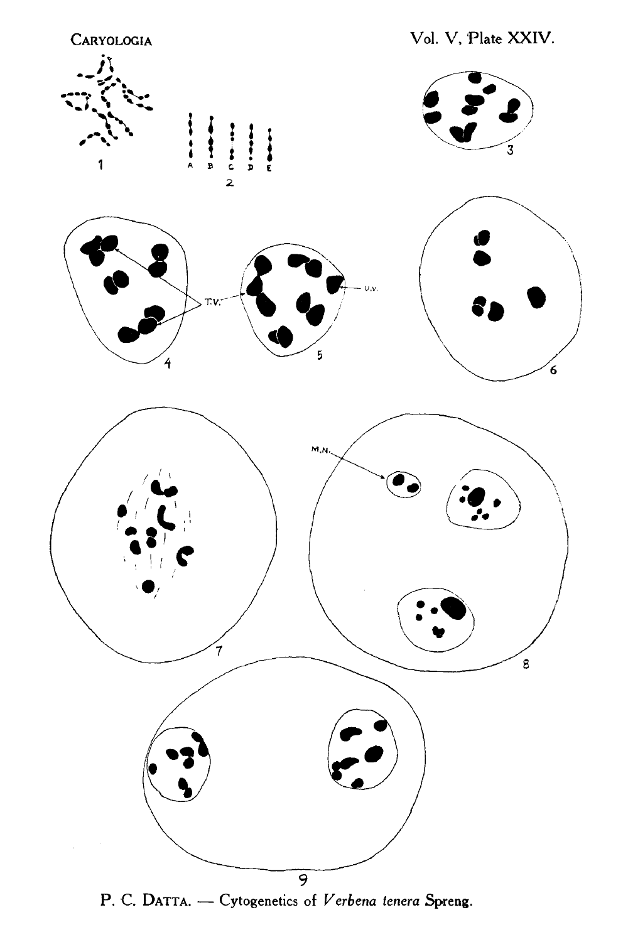

P. C. DATTA. - Cytogenetics of *Verbena tenera* Spreng.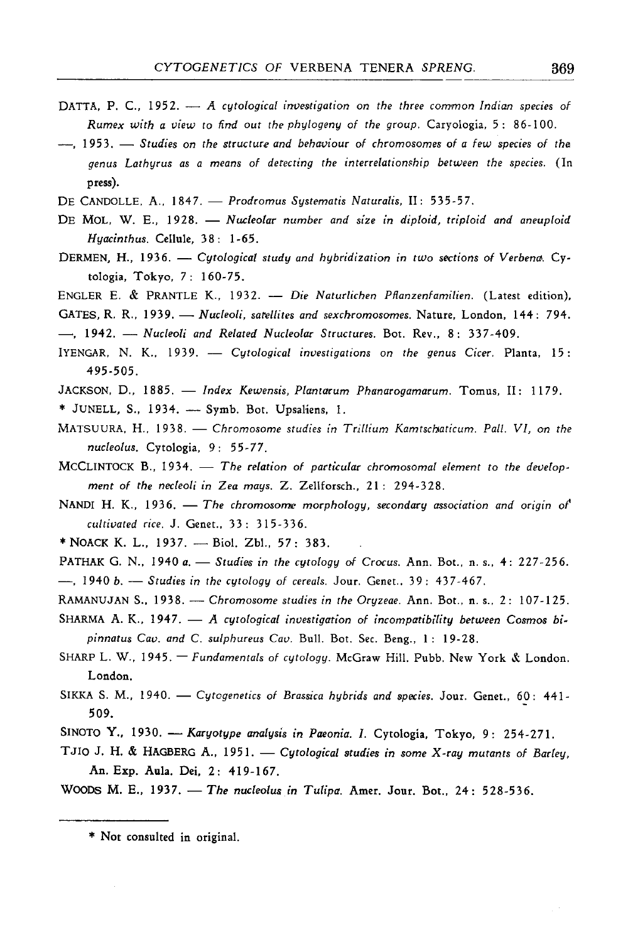- DATTA, P. C., 1952. *A cytological investigation on the three common Indian species of Rumex with a view to find out the phylogeny of the group.* Caryologia, 5: 86-100.
- 19 53. *Studies on the structure and behaviour of chromosomes of a few species of the genus Lathyrus as a means of detecting the interrelationship between the species.* (In press).
- DE CANDOLLE, A., 1847. *Prodromus Systematis Naturalis*, II: 535-57.
- DE MOL. W. E., 1928. *Nucleolar number and size in diploid, triploid and aneuploid Hyacinthus.* Cellule, 3 8: 1-65.
- DERMEN, H., 1936. *Cytological study and hybridization in two sections of Verbena.* Cyto1ogia, Tokyo, 7: 160-75.
- ENGLER E. & PRANTLE K., 1932. *Die Naturlichen Pllanzenfamilien.* (Latest edition).
- GATES, R. R., 1939. *Nucleoli, satellites and sexchromosomes*. Nature, London, 144: 794.
- -, 1942. Nucleoli and Related Nucleolar Structures. Bot. Rev., 8: 337-409.
- IYENGAR, N. K., 1939. *Cytological investigations on the genus Cicer*. Planta, 15: 495-505.
- JACKSON, D., 1885. *Index Kewensis, Plantarum Phanarogamarum*. Tomus, II: 1179.
- \* JUNELL, S., 1934. Symb. Bot. Upsaliens, 1.
- MATSUURA, H., 1938. Chromosome studies in Trillium Kamtschaticum. Pall. VI, on the *nucleolus.* Cyto1ogia, 9 : 55-77.
- MCCLINTOCK B., 1934. The relation of particular chromosomal element to the develop*ment of the necleoli in Zea mays.* Z. Zellforsch., 21: 294-328.
- NANDI H. K., 1936. The chromosome morphology, secondary association and origin of *cultivated rice.* J. Genet., 3 3 : 315-3 3 6.
- \* NOACK K. L., 1937. Biol. Zbl., 57: 383.
- PATHAK G. N., 1940 *a. Studies in the cytology of Crocus. Ann. Bot., n.s., 4: 227-256.* -.. 1940 *b.* - *Studies in the cytology of cereals. Jour. Genet.*, 39: 437-467.
- RAMANUJAN S., 1938. *Chromosome studies in the Oryzeae*. Ann. Bot., n. s., 2: 107-125.
- SHARMA A. K., 1947. A cytological investigation of incompatibility between Cosmos bi*pinnatus Cav. and* C. *su/phureus Cav.* Bull. Bot. Sec. Beng., 1: 19-28.
- SHARP L. W., 1945. Fundamentals of cytology. McGraw Hill. Pubb. New York & London. London.
- SIKKA S. M., 1940. *Cytogenetics of Brassica hybrids and species*. Jour. Genet., 60: 441-509.
- SINOTO Y., 1930. *Karyotype analysis in Paeonia. I.* Cytologia, Tokyo, 9: 254-271.
- TJIO J. H. & HAGBERG A., 1951. *Cytological studies in some X-ray mutants of Barley*, An. Exp. Aula. Dei, 2: 419-167.

WOODS M. E., 1937. - The nucleolus in Tulipa. Amer. Jour. Bot., 24: 528-536.

<sup>\*</sup> Not consulted in original.